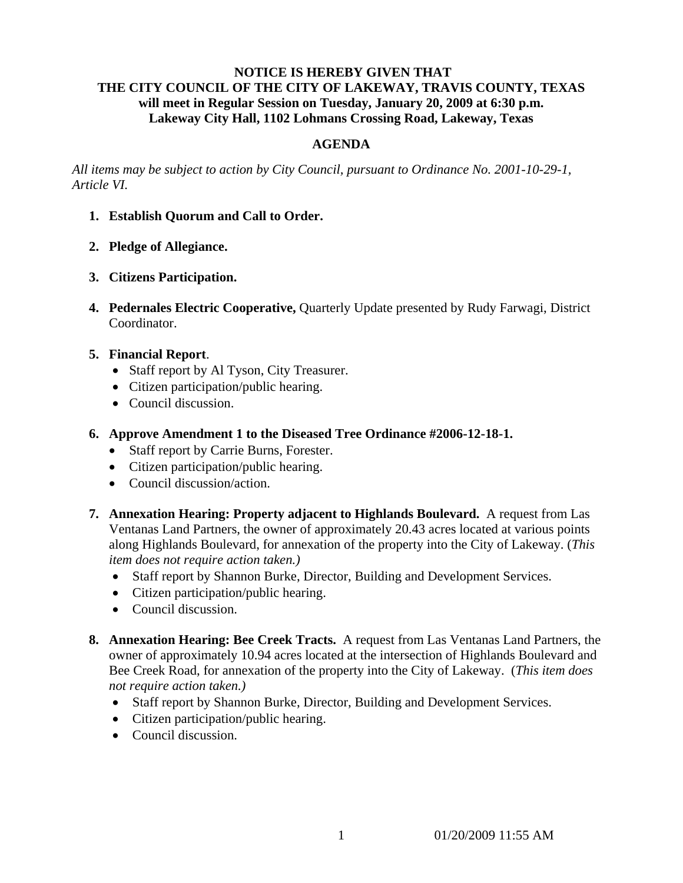## **NOTICE IS HEREBY GIVEN THAT THE CITY COUNCIL OF THE CITY OF LAKEWAY, TRAVIS COUNTY, TEXAS will meet in Regular Session on Tuesday, January 20, 2009 at 6:30 p.m. Lakeway City Hall, 1102 Lohmans Crossing Road, Lakeway, Texas**

## **AGENDA**

*All items may be subject to action by City Council, pursuant to Ordinance No. 2001-10-29-1, Article VI.* 

- **1. Establish Quorum and Call to Order.**
- **2. Pledge of Allegiance.**
- **3. Citizens Participation.**
- **4. Pedernales Electric Cooperative,** Quarterly Update presented by Rudy Farwagi, District Coordinator.
- **5. Financial Report**.
	- Staff report by Al Tyson, City Treasurer.
	- Citizen participation/public hearing.
	- Council discussion.
- **6. Approve Amendment 1 to the Diseased Tree Ordinance #2006-12-18-1.**
	- Staff report by Carrie Burns, Forester.
	- Citizen participation/public hearing.
	- Council discussion/action.
- **7. Annexation Hearing: Property adjacent to Highlands Boulevard.** A request from Las Ventanas Land Partners, the owner of approximately 20.43 acres located at various points along Highlands Boulevard, for annexation of the property into the City of Lakeway. (*This item does not require action taken.)*
	- Staff report by Shannon Burke, Director, Building and Development Services.
	- Citizen participation/public hearing.
	- Council discussion.
- **8. Annexation Hearing: Bee Creek Tracts.** A request from Las Ventanas Land Partners, the owner of approximately 10.94 acres located at the intersection of Highlands Boulevard and Bee Creek Road, for annexation of the property into the City of Lakeway. (*This item does not require action taken.)*
	- Staff report by Shannon Burke, Director, Building and Development Services.
	- Citizen participation/public hearing.
	- Council discussion.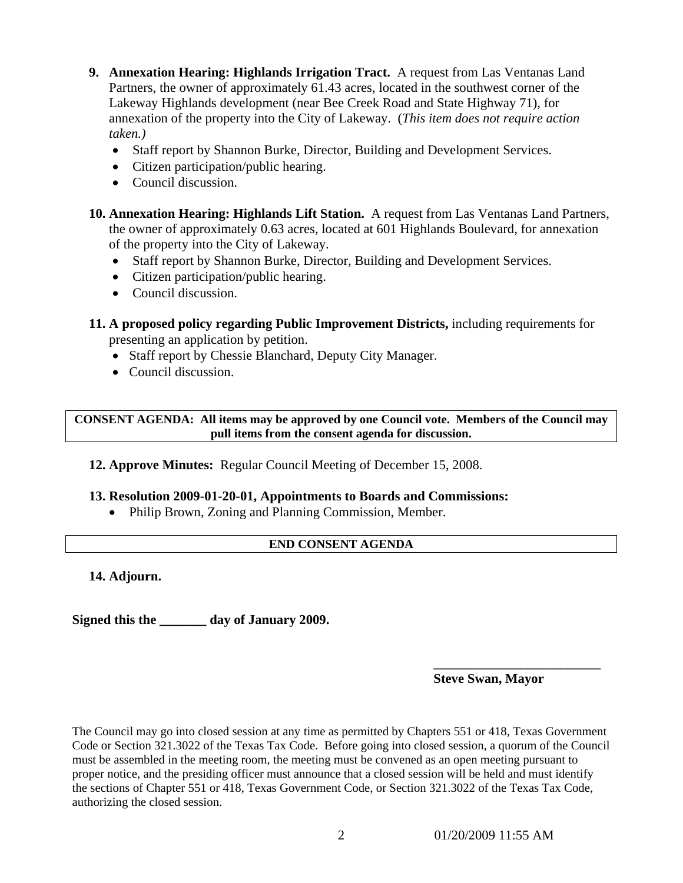- **9. Annexation Hearing: Highlands Irrigation Tract.** A request from Las Ventanas Land Partners, the owner of approximately 61.43 acres, located in the southwest corner of the Lakeway Highlands development (near Bee Creek Road and State Highway 71), for annexation of the property into the City of Lakeway. (*This item does not require action taken.)*
	- Staff report by Shannon Burke, Director, Building and Development Services.
	- Citizen participation/public hearing.
	- Council discussion.
- **10. Annexation Hearing: Highlands Lift Station.** A request from Las Ventanas Land Partners, the owner of approximately 0.63 acres, located at 601 Highlands Boulevard, for annexation of the property into the City of Lakeway.
	- Staff report by Shannon Burke, Director, Building and Development Services.
	- Citizen participation/public hearing.
	- Council discussion.
- **11. A proposed policy regarding Public Improvement Districts,** including requirements for presenting an application by petition.
	- Staff report by Chessie Blanchard, Deputy City Manager.
	- Council discussion.

**CONSENT AGENDA: All items may be approved by one Council vote. Members of the Council may pull items from the consent agenda for discussion.** 

**12. Approve Minutes:** Regular Council Meeting of December 15, 2008.

## **13. Resolution 2009-01-20-01, Appointments to Boards and Commissions:**

• Philip Brown, Zoning and Planning Commission, Member.

## **END CONSENT AGENDA**

**14. Adjourn.** 

**Signed this the \_\_\_\_\_\_\_ day of January 2009.** 

**Steve Swan, Mayor** 

The Council may go into closed session at any time as permitted by Chapters 551 or 418, Texas Government Code or Section 321.3022 of the Texas Tax Code. Before going into closed session, a quorum of the Council must be assembled in the meeting room, the meeting must be convened as an open meeting pursuant to proper notice, and the presiding officer must announce that a closed session will be held and must identify the sections of Chapter 551 or 418, Texas Government Code, or Section 321.3022 of the Texas Tax Code, authorizing the closed session.

 **\_\_\_\_\_\_\_\_\_\_\_\_\_\_\_\_\_\_\_\_\_\_\_\_\_**